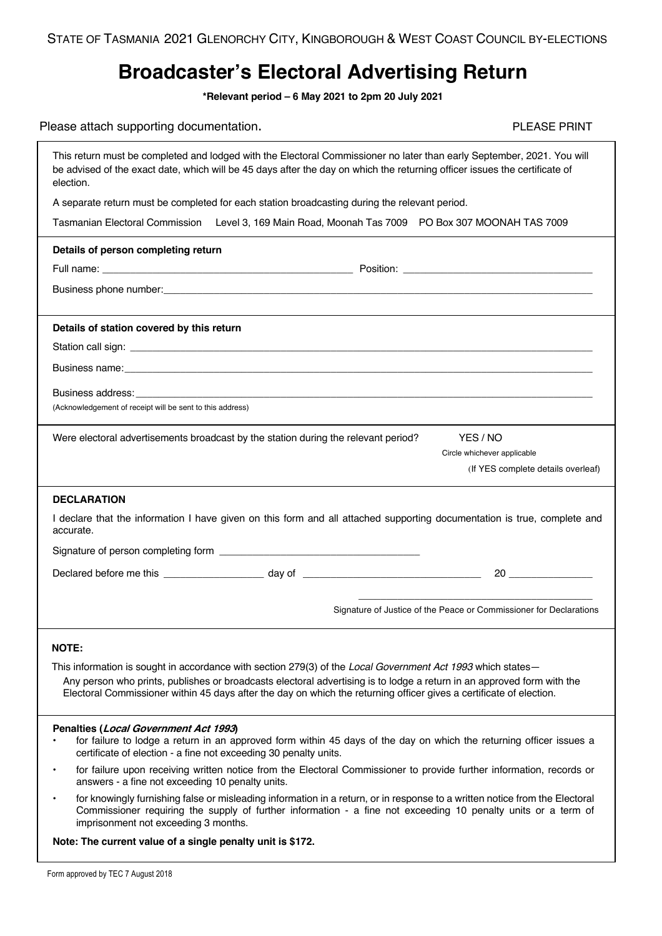## **Broadcaster's Electoral Advertising Return**

**\*Relevant period – 6 May 2021 to 2pm 20 July 2021**

## Please attach supporting documentation. The example of the example of the example of the PLEASE PRINT

|                                                                                                                                                                                                                                                                   | loaso allach supporting accurrichtation.                                                                                                                                                                                                                                             |                                                                    |  |  |  |  |  |  |
|-------------------------------------------------------------------------------------------------------------------------------------------------------------------------------------------------------------------------------------------------------------------|--------------------------------------------------------------------------------------------------------------------------------------------------------------------------------------------------------------------------------------------------------------------------------------|--------------------------------------------------------------------|--|--|--|--|--|--|
| This return must be completed and lodged with the Electoral Commissioner no later than early September, 2021. You will<br>be advised of the exact date, which will be 45 days after the day on which the returning officer issues the certificate of<br>election. |                                                                                                                                                                                                                                                                                      |                                                                    |  |  |  |  |  |  |
|                                                                                                                                                                                                                                                                   | A separate return must be completed for each station broadcasting during the relevant period.                                                                                                                                                                                        |                                                                    |  |  |  |  |  |  |
|                                                                                                                                                                                                                                                                   | Tasmanian Electoral Commission Level 3, 169 Main Road, Moonah Tas 7009 PO Box 307 MOONAH TAS 7009                                                                                                                                                                                    |                                                                    |  |  |  |  |  |  |
|                                                                                                                                                                                                                                                                   | Details of person completing return                                                                                                                                                                                                                                                  |                                                                    |  |  |  |  |  |  |
|                                                                                                                                                                                                                                                                   |                                                                                                                                                                                                                                                                                      |                                                                    |  |  |  |  |  |  |
|                                                                                                                                                                                                                                                                   |                                                                                                                                                                                                                                                                                      |                                                                    |  |  |  |  |  |  |
|                                                                                                                                                                                                                                                                   | Details of station covered by this return                                                                                                                                                                                                                                            |                                                                    |  |  |  |  |  |  |
|                                                                                                                                                                                                                                                                   |                                                                                                                                                                                                                                                                                      |                                                                    |  |  |  |  |  |  |
|                                                                                                                                                                                                                                                                   |                                                                                                                                                                                                                                                                                      |                                                                    |  |  |  |  |  |  |
|                                                                                                                                                                                                                                                                   |                                                                                                                                                                                                                                                                                      |                                                                    |  |  |  |  |  |  |
|                                                                                                                                                                                                                                                                   | (Acknowledgement of receipt will be sent to this address)                                                                                                                                                                                                                            |                                                                    |  |  |  |  |  |  |
|                                                                                                                                                                                                                                                                   | Were electoral advertisements broadcast by the station during the relevant period?                                                                                                                                                                                                   | YES / NO                                                           |  |  |  |  |  |  |
|                                                                                                                                                                                                                                                                   |                                                                                                                                                                                                                                                                                      | Circle whichever applicable                                        |  |  |  |  |  |  |
|                                                                                                                                                                                                                                                                   |                                                                                                                                                                                                                                                                                      | (If YES complete details overleaf)                                 |  |  |  |  |  |  |
| <b>DECLARATION</b>                                                                                                                                                                                                                                                |                                                                                                                                                                                                                                                                                      |                                                                    |  |  |  |  |  |  |
| I declare that the information I have given on this form and all attached supporting documentation is true, complete and<br>accurate.                                                                                                                             |                                                                                                                                                                                                                                                                                      |                                                                    |  |  |  |  |  |  |
|                                                                                                                                                                                                                                                                   |                                                                                                                                                                                                                                                                                      |                                                                    |  |  |  |  |  |  |
|                                                                                                                                                                                                                                                                   |                                                                                                                                                                                                                                                                                      |                                                                    |  |  |  |  |  |  |
|                                                                                                                                                                                                                                                                   |                                                                                                                                                                                                                                                                                      |                                                                    |  |  |  |  |  |  |
|                                                                                                                                                                                                                                                                   |                                                                                                                                                                                                                                                                                      | Signature of Justice of the Peace or Commissioner for Declarations |  |  |  |  |  |  |
|                                                                                                                                                                                                                                                                   |                                                                                                                                                                                                                                                                                      |                                                                    |  |  |  |  |  |  |
| <b>NOTE:</b><br>This information is sought in accordance with section 279(3) of the Local Government Act 1993 which states-                                                                                                                                       |                                                                                                                                                                                                                                                                                      |                                                                    |  |  |  |  |  |  |
|                                                                                                                                                                                                                                                                   | Any person who prints, publishes or broadcasts electoral advertising is to lodge a return in an approved form with the                                                                                                                                                               |                                                                    |  |  |  |  |  |  |
|                                                                                                                                                                                                                                                                   | Electoral Commissioner within 45 days after the day on which the returning officer gives a certificate of election.                                                                                                                                                                  |                                                                    |  |  |  |  |  |  |
|                                                                                                                                                                                                                                                                   | Penalties (Local Government Act 1993)                                                                                                                                                                                                                                                |                                                                    |  |  |  |  |  |  |
|                                                                                                                                                                                                                                                                   | for failure to lodge a return in an approved form within 45 days of the day on which the returning officer issues a<br>certificate of election - a fine not exceeding 30 penalty units.                                                                                              |                                                                    |  |  |  |  |  |  |
| ٠                                                                                                                                                                                                                                                                 | for failure upon receiving written notice from the Electoral Commissioner to provide further information, records or<br>answers - a fine not exceeding 10 penalty units.                                                                                                             |                                                                    |  |  |  |  |  |  |
| $\bullet$                                                                                                                                                                                                                                                         | for knowingly furnishing false or misleading information in a return, or in response to a written notice from the Electoral<br>Commissioner requiring the supply of further information - a fine not exceeding 10 penalty units or a term of<br>imprisonment not exceeding 3 months. |                                                                    |  |  |  |  |  |  |
| Note: The current value of a single penalty unit is \$172.                                                                                                                                                                                                        |                                                                                                                                                                                                                                                                                      |                                                                    |  |  |  |  |  |  |
|                                                                                                                                                                                                                                                                   |                                                                                                                                                                                                                                                                                      |                                                                    |  |  |  |  |  |  |